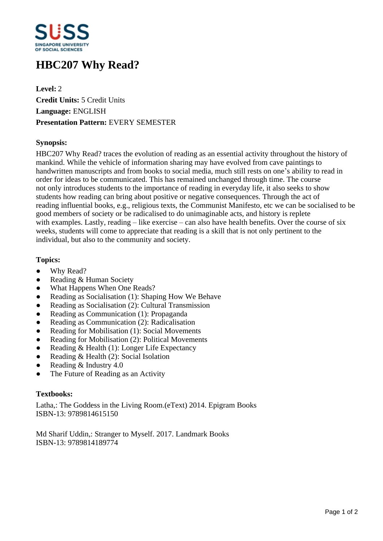

# **HBC207 Why Read?**

**Level:** 2 **Credit Units:** 5 Credit Units **Language:** ENGLISH **Presentation Pattern:** EVERY SEMESTER

## **Synopsis:**

HBC207 Why Read? traces the evolution of reading as an essential activity throughout the history of mankind. While the vehicle of information sharing may have evolved from cave paintings to handwritten manuscripts and from books to social media, much still rests on one's ability to read in order for ideas to be communicated. This has remained unchanged through time. The course not only introduces students to the importance of reading in everyday life, it also seeks to show students how reading can bring about positive or negative consequences. Through the act of reading influential books, e.g., religious texts, the Communist Manifesto, etc we can be socialised to be good members of society or be radicalised to do unimaginable acts, and history is replete with examples. Lastly, reading  $-\text{like}$  exercise  $-\text{can}$  also have health benefits. Over the course of six weeks, students will come to appreciate that reading is a skill that is not only pertinent to the individual, but also to the community and society.

## **Topics:**

- Why Read?
- Reading & Human Society
- What Happens When One Reads?
- Reading as Socialisation (1): Shaping How We Behave
- Reading as Socialisation (2): Cultural Transmission
- Reading as Communication (1): Propaganda
- Reading as Communication (2): Radicalisation
- Reading for Mobilisation (1): Social Movements
- Reading for Mobilisation (2): Political Movements
- Reading & Health  $(1)$ : Longer Life Expectancy
- Reading  $& Health (2)$ : Social Isolation
- Reading  $&$  Industry 4.0
- The Future of Reading as an Activity

### **Textbooks:**

Latha,: The Goddess in the Living Room.(eText) 2014. Epigram Books ISBN-13: 9789814615150

Md Sharif Uddin,: Stranger to Myself. 2017. Landmark Books ISBN-13: 9789814189774